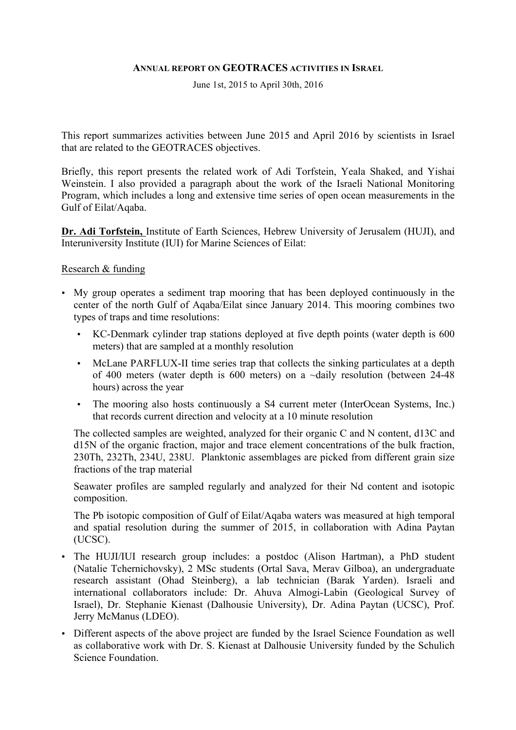#### **ANNUAL REPORT ON GEOTRACES ACTIVITIES IN ISRAEL**

June 1st, 2015 to April 30th, 2016

This report summarizes activities between June 2015 and April 2016 by scientists in Israel that are related to the GEOTRACES objectives.

Briefly, this report presents the related work of Adi Torfstein, Yeala Shaked, and Yishai Weinstein. I also provided a paragraph about the work of the Israeli National Monitoring Program, which includes a long and extensive time series of open ocean measurements in the Gulf of Eilat/Aqaba.

**Dr. Adi Torfstein,** Institute of Earth Sciences, Hebrew University of Jerusalem (HUJI), and Interuniversity Institute (IUI) for Marine Sciences of Eilat:

#### Research & funding

- My group operates a sediment trap mooring that has been deployed continuously in the center of the north Gulf of Aqaba/Eilat since January 2014. This mooring combines two types of traps and time resolutions:
	- KC-Denmark cylinder trap stations deployed at five depth points (water depth is 600 meters) that are sampled at a monthly resolution
	- McLane PARFLUX-II time series trap that collects the sinking particulates at a depth of 400 meters (water depth is 600 meters) on a ~daily resolution (between 24-48 hours) across the year
	- The mooring also hosts continuously a S4 current meter (InterOcean Systems, Inc.) that records current direction and velocity at a 10 minute resolution

The collected samples are weighted, analyzed for their organic C and N content, d13C and d15N of the organic fraction, major and trace element concentrations of the bulk fraction, 230Th, 232Th, 234U, 238U. Planktonic assemblages are picked from different grain size fractions of the trap material

Seawater profiles are sampled regularly and analyzed for their Nd content and isotopic composition.

The Pb isotopic composition of Gulf of Eilat/Aqaba waters was measured at high temporal and spatial resolution during the summer of 2015, in collaboration with Adina Paytan (UCSC).

- The HUJI/IUI research group includes: a postdoc (Alison Hartman), a PhD student (Natalie Tchernichovsky), 2 MSc students (Ortal Sava, Merav Gilboa), an undergraduate research assistant (Ohad Steinberg), a lab technician (Barak Yarden). Israeli and international collaborators include: Dr. Ahuva Almogi-Labin (Geological Survey of Israel), Dr. Stephanie Kienast (Dalhousie University), Dr. Adina Paytan (UCSC), Prof. Jerry McManus (LDEO).
- Different aspects of the above project are funded by the Israel Science Foundation as well as collaborative work with Dr. S. Kienast at Dalhousie University funded by the Schulich Science Foundation.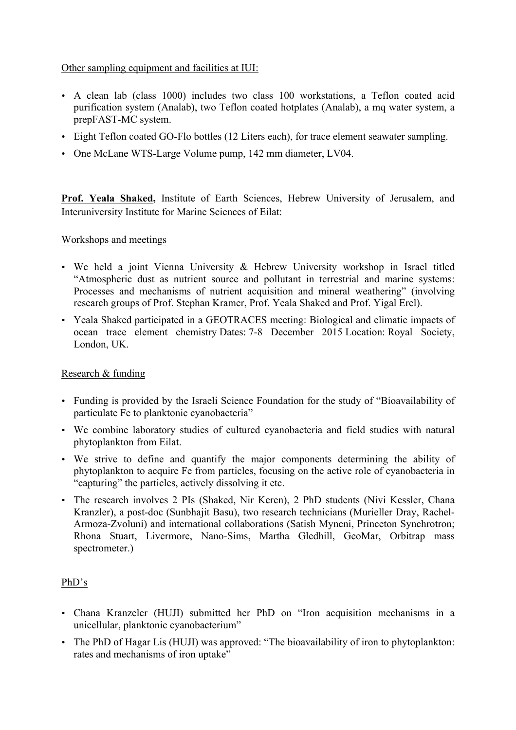# Other sampling equipment and facilities at IUI:

- A clean lab (class 1000) includes two class 100 workstations, a Teflon coated acid purification system (Analab), two Teflon coated hotplates (Analab), a mq water system, a prepFAST-MC system.
- Eight Teflon coated GO-Flo bottles (12 Liters each), for trace element seawater sampling.
- One McLane WTS-Large Volume pump, 142 mm diameter, LV04.

**Prof. Yeala Shaked,** Institute of Earth Sciences, Hebrew University of Jerusalem, and Interuniversity Institute for Marine Sciences of Eilat:

# Workshops and meetings

- We held a joint Vienna University & Hebrew University workshop in Israel titled "Atmospheric dust as nutrient source and pollutant in terrestrial and marine systems: Processes and mechanisms of nutrient acquisition and mineral weathering" (involving research groups of Prof. Stephan Kramer, Prof. Yeala Shaked and Prof. Yigal Erel).
- Yeala Shaked participated in a GEOTRACES meeting: Biological and climatic impacts of ocean trace element chemistry Dates: 7-8 December 2015 Location: Royal Society, London, UK.

# Research & funding

- Funding is provided by the Israeli Science Foundation for the study of "Bioavailability of particulate Fe to planktonic cyanobacteria"
- We combine laboratory studies of cultured cyanobacteria and field studies with natural phytoplankton from Eilat.
- We strive to define and quantify the major components determining the ability of phytoplankton to acquire Fe from particles, focusing on the active role of cyanobacteria in "capturing" the particles, actively dissolving it etc.
- The research involves 2 PIs (Shaked, Nir Keren), 2 PhD students (Nivi Kessler, Chana Kranzler), a post-doc (Sunbhajit Basu), two research technicians (Murieller Dray, Rachel-Armoza-Zvoluni) and international collaborations (Satish Myneni, Princeton Synchrotron; Rhona Stuart, Livermore, Nano-Sims, Martha Gledhill, GeoMar, Orbitrap mass spectrometer.)

# PhD's

- Chana Kranzeler (HUJI) submitted her PhD on "Iron acquisition mechanisms in a unicellular, planktonic cyanobacterium"
- The PhD of Hagar Lis (HUJI) was approved: "The bioavailability of iron to phytoplankton: rates and mechanisms of iron uptake"